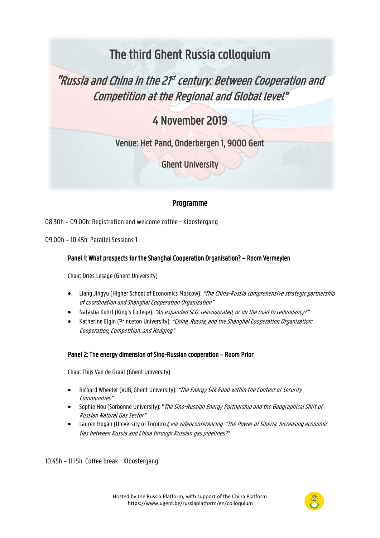# The third Ghent Russia colloquium

# "Russia and China in the 2f<sup>t</sup> century: Between Cooperation and Competition at the Regional and Global level"

# 4 November 2019

Venue: Het Pand, Onderbergen 1, 9000 Gent

Ghent University

# Programme

08.30h – 09.00h: Registration and welcome coffee - Kloostergang

09.00h – 10.45h: Parallel Sessions 1

# Panel 1: What prospects for the Shanghai Cooperation Organisation? – Room Vermeylen

Chair: Dries Lesage (Ghent University)

- Liang Jingyu (Higher School of Economics Moscow): "The China-Russia comprehensive strategic partnership of coordination and Shanghai Cooperation Organization"
- Natasha Kuhrt (King's College): "An expanded SCO: reinvigorated, or on the road to redundancy?"
- Katherine Elgin (Princeton University): "China, Russia, and the Shanghai Cooperation Organization: Cooperation, Competition, and Hedging"

# Panel 2: The energy dimension of Sino-Russian cooperation – Room Prior

Chair: Thijs Van de Graaf (Ghent University)

- Richard Wheeler (VUB, Ghent University): "The Energy Silk Road within the Context of Security Communities"
- Sophie Hou (Sorbonne University): "The Sino-Russian Energy Partnership and the Geographical Shift of Russian Natural Gas Sector"
- Lauren Hogan (University of Toronto *), via videoconferencing: "The Power of Siberia: Increasing economic* ties between Russia and China through Russian gas pipelines?"

10.45h – 11.15h: Coffee break - Kloostergang

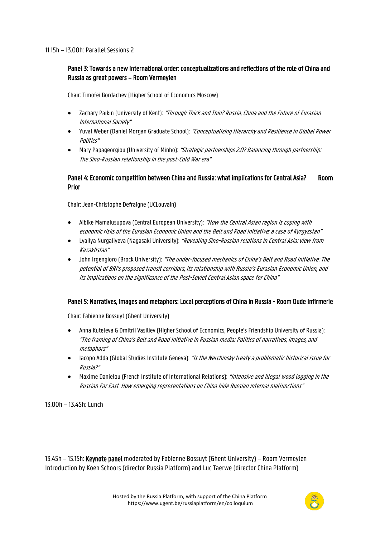#### 11.15h – 13.00h: Parallel Sessions 2

### Panel 3: Towards a new international order: conceptualizations and reflections of the role of China and Russia as great powers – Room Vermeylen

Chair: Timofei Bordachev (Higher School of Economics Moscow)

- Zachary Paikin (University of Kent): "Through Thick and Thin? Russia, China and the Future of Eurasian International Society"
- Yuval Weber (Daniel Morgan Graduate School): "Conceptualizing Hierarchy and Resilience in Global Power Politics"
- Mary Papageorgiou (University of Minho): "Strategic partnerships 2.0? Balancing through partnership: The Sino-Russian relationship in the post-Cold War era"

### Panel 4: Economic competition between China and Russia: what implications for Central Asia? Room Prior

Chair: Jean-Christophe Defraigne (UCLouvain)

- Aibike Mamaiusupova (Central European University): "How the Central Asian region is coping with economic risks of the Eurasian Economic Union and the Belt and Road Initiative: a case of Kyrgyzstan"
- Lyailya Nurgaliyeva (Nagasaki University): "Revealing Sino-Russian relations in Central Asia: view from Kazakhstan"
- John Irgengioro (Brock University): "The under-focused mechanics of China's Belt and Road Initiative: The potential of BRI's proposed transit corridors, its relationship with Russia's Eurasian Economic Union, and its implications on the significance of the Post-Soviet Central Asian space for China"

#### Panel 5: Narratives, images and metaphors: Local perceptions of China in Russia - Room Oude Infirmerie

Chair: Fabienne Bossuyt (Ghent University)

- Anna Kuteleva & Dmitrii Vasiliev (Higher School of Economics, People's Friendship University of Russia): "The framing of China's Belt and Road Initiative in Russian media: Politics of narratives, images, and metaphors"
- lacopo Adda (Global Studies Institute Geneva): "Is the Nerchinsky treaty a problematic historical issue for Russia?"
- Maxime Danielou (French Institute of International Relations): "Intensive and illegal wood logging in the Russian Far East: How emerging representations on China hide Russian internal malfunctions"

13.00h – 13.45h: Lunch

13.45h – 15.15h: Keynote panel moderated by Fabienne Bossuyt (Ghent University) – Room Vermeylen Introduction by Koen Schoors (director Russia Platform) and Luc Taerwe (director China Platform)

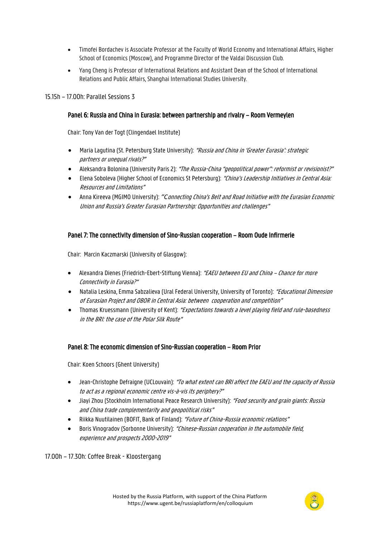- Timofei Bordachev is Associate Professor at the Faculty of World Economy and International Affairs, Higher School of Economics (Moscow), and Programme Director of the Valdai Discussion Club.
- Yang Cheng is Professor of International Relations and Assistant Dean of the School of International Relations and Public Affairs, Shanghai International Studies University.

#### 15.15h – 17.00h: Parallel Sessions 3

#### Panel 6: Russia and China in Eurasia: between partnership and rivalry – Room Vermeylen

Chair: Tony Van der Togt (Clingendael Institute)

- Maria Lagutina (St. Petersburg State University): "Russia and China in 'Greater Eurasia': strategic partners or unequal rivals?"
- Aleksandra Bolonina (University Paris 2): "The Russia-China "geopolitical power": reformist or revisionist?"
- Elena Soboleva (Higher School of Economics St Petersburg): "China's Leadership Initiatives in Central Asia: Resources and Limitations"
- Anna Kireeva (MGIMO University): *"C*onnecting China's Belt and Road Initiative with the Eurasian Economic Union and Russia's Greater Eurasian Partnership: Opportunities and challenges"

#### Panel 7: The connectivity dimension of Sino-Russian cooperation – Room Oude Infirmerie

Chair: Marcin Kaczmarski (University of Glasgow):

- Alexandra Dienes (Friedrich-Ebert-Stiftung Vienna): "EAEU between EU and China Chance for more Connectivity in Eurasia?"
- Natalia Leskina, Emma Sabzalieva (Ural Federal University, University of Toronto): "Educational Dimension of Eurasian Project and OBOR in Central Asia: between cooperation and competition"
- Thomas Kruessmann (University of Kent): "Expectations towards a level playing field and rule-basedness in the BRI: the case of the Polar Silk Route"

#### Panel 8: The economic dimension of Sino-Russian cooperation – Room Prior

Chair: Koen Schoors (Ghent University)

- Jean-Christophe Defraigne (UCLouvain): "To what extent can BRI affect the EAEU and the capacity of Russia to act as a regional economic centre vis-à-vis its periphery?"
- Jiayi Zhou (Stockholm International Peace Research University): "Food security and grain giants: Russia and China trade complementarity and geopolitical risks"
- Riikka Nuutilainen (BOFIT, Bank of Finland): "Future of China-Russia economic relations"
- Boris Vinogradov (Sorbonne University): "Chinese-Russian cooperation in the automobile field, experience and prospects 2000-2019"

17.00h – 17.30h: Coffee Break - Kloostergang